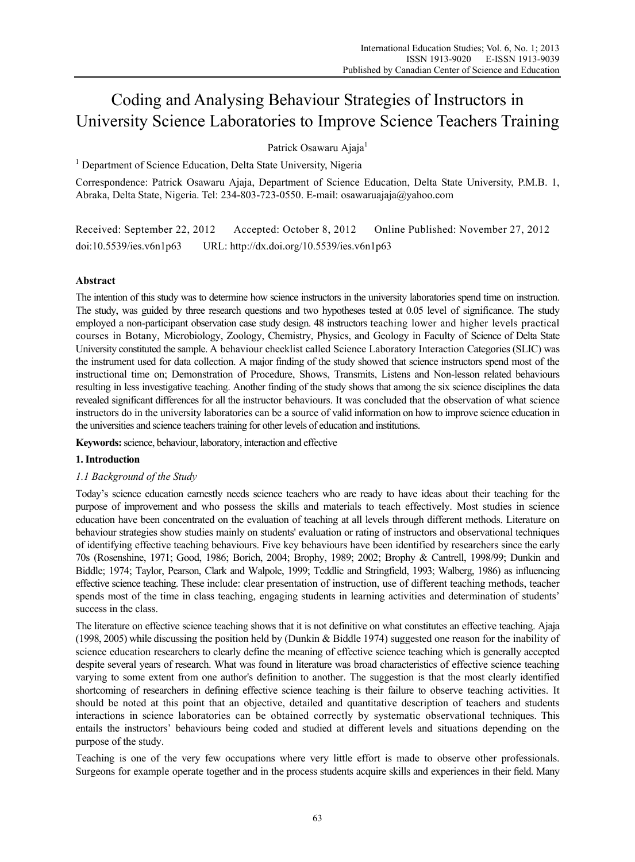# Coding and Analysing Behaviour Strategies of Instructors in University Science Laboratories to Improve Science Teachers Training

Patrick Osawaru Ajaja<sup>1</sup>

<sup>1</sup> Department of Science Education, Delta State University, Nigeria

Correspondence: Patrick Osawaru Ajaja, Department of Science Education, Delta State University, P.M.B. 1, Abraka, Delta State, Nigeria. Tel: 234-803-723-0550. E-mail: osawaruajaja@yahoo.com

Received: September 22, 2012 Accepted: October 8, 2012 Online Published: November 27, 2012 doi:10.5539/ies.v6n1p63 URL: http://dx.doi.org/10.5539/ies.v6n1p63

# **Abstract**

The intention of this study was to determine how science instructors in the university laboratories spend time on instruction. The study, was guided by three research questions and two hypotheses tested at 0.05 level of significance. The study employed a non-participant observation case study design. 48 instructors teaching lower and higher levels practical courses in Botany, Microbiology, Zoology, Chemistry, Physics, and Geology in Faculty of Science of Delta State University constituted the sample. A behaviour checklist called Science Laboratory Interaction Categories (SLIC) was the instrument used for data collection. A major finding of the study showed that science instructors spend most of the instructional time on; Demonstration of Procedure, Shows, Transmits, Listens and Non-lesson related behaviours resulting in less investigative teaching. Another finding of the study shows that among the six science disciplines the data revealed significant differences for all the instructor behaviours. It was concluded that the observation of what science instructors do in the university laboratories can be a source of valid information on how to improve science education in the universities and science teachers training for other levels of education and institutions.

**Keywords:** science, behaviour, laboratory, interaction and effective

# **1. Introduction**

# *1.1 Background of the Study*

Today's science education earnestly needs science teachers who are ready to have ideas about their teaching for the purpose of improvement and who possess the skills and materials to teach effectively. Most studies in science education have been concentrated on the evaluation of teaching at all levels through different methods. Literature on behaviour strategies show studies mainly on students' evaluation or rating of instructors and observational techniques of identifying effective teaching behaviours. Five key behaviours have been identified by researchers since the early 70s (Rosenshine, 1971; Good, 1986; Borich, 2004; Brophy, 1989; 2002; Brophy & Cantrell, 1998/99; Dunkin and Biddle; 1974; Taylor, Pearson, Clark and Walpole, 1999; Teddlie and Stringfield, 1993; Walberg, 1986) as influencing effective science teaching. These include: clear presentation of instruction, use of different teaching methods, teacher spends most of the time in class teaching, engaging students in learning activities and determination of students' success in the class.

The literature on effective science teaching shows that it is not definitive on what constitutes an effective teaching. Ajaja (1998, 2005) while discussing the position held by (Dunkin & Biddle 1974) suggested one reason for the inability of science education researchers to clearly define the meaning of effective science teaching which is generally accepted despite several years of research. What was found in literature was broad characteristics of effective science teaching varying to some extent from one author's definition to another. The suggestion is that the most clearly identified shortcoming of researchers in defining effective science teaching is their failure to observe teaching activities. It should be noted at this point that an objective, detailed and quantitative description of teachers and students interactions in science laboratories can be obtained correctly by systematic observational techniques. This entails the instructors' behaviours being coded and studied at different levels and situations depending on the purpose of the study.

Teaching is one of the very few occupations where very little effort is made to observe other professionals. Surgeons for example operate together and in the process students acquire skills and experiences in their field. Many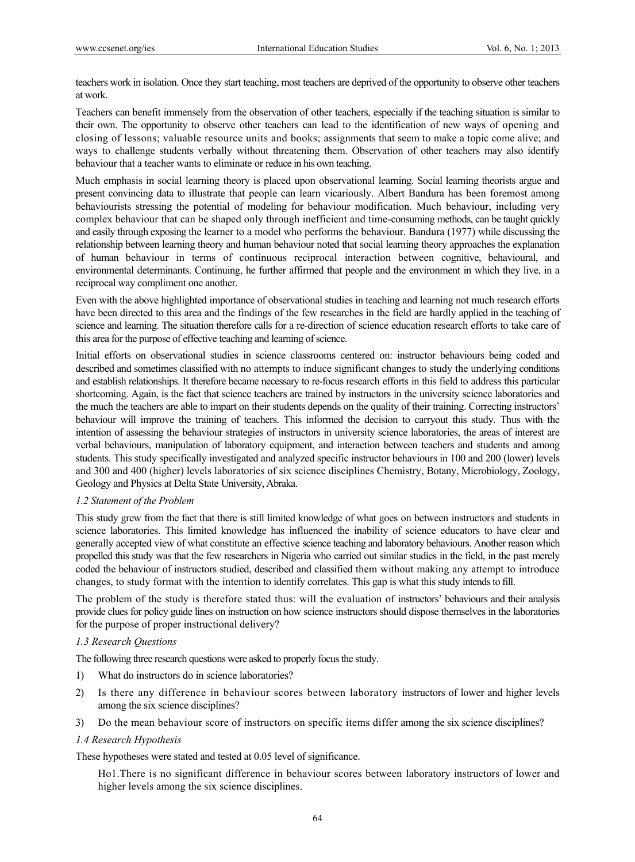teachers work in isolation. Once they start teaching, most teachers are deprived of the opportunity to observe other teachers at work.

Teachers can benefit immensely from the observation of other teachers, especially if the teaching situation is similar to their own. The opportunity to observe other teachers can lead to the identification of new ways of opening and closing of lessons; valuable resource units and books; assignments that seem to make a topic come alive; and ways to challenge students verbally without threatening them. Observation of other teachers may also identify behaviour that a teacher wants to eliminate or reduce in his own teaching.

Much emphasis in social learning theory is placed upon observational learning. Social learning theorists argue and present convincing data to illustrate that people can learn vicariously. Albert Bandura has been foremost among behaviourists stressing the potential of modeling for behaviour modification. Much behaviour, including very complex behaviour that can be shaped only through inefficient and time-consuming methods, can be taught quickly and easily through exposing the learner to a model who performs the behaviour. Bandura (1977) while discussing the relationship between learning theory and human behaviour noted that social learning theory approaches the explanation of human behaviour in terms of continuous reciprocal interaction between cognitive, behavioural, and environmental determinants. Continuing, he further affirmed that people and the environment in which they live, in a reciprocal way compliment one another.

Even with the above highlighted importance of observational studies in teaching and learning not much research efforts have been directed to this area and the findings of the few researches in the field are hardly applied in the teaching of science and learning. The situation therefore calls for a re-direction of science education research efforts to take care of this area for the purpose of effective teaching and learning of science.

Initial efforts on observational studies in science classrooms centered on: instructor behaviours being coded and described and sometimes classified with no attempts to induce significant changes to study the underlying conditions and establish relationships. It therefore became necessary to re-focus research efforts in this field to address this particular shortcoming. Again, is the fact that science teachers are trained by instructors in the university science laboratories and the much the teachers are able to impart on their students depends on the quality of their training. Correcting instructors' behaviour will improve the training of teachers. This informed the decision to carryout this study. Thus with the intention of assessing the behaviour strategies of instructors in university science laboratories, the areas of interest are verbal behaviours, manipulation of laboratory equipment, and interaction between teachers and students and among students. This study specifically investigated and analyzed specific instructor behaviours in 100 and 200 (lower) levels and 300 and 400 (higher) levels laboratories of six science disciplines Chemistry, Botany, Microbiology, Zoology, Geology and Physics at Delta State University, Abraka.

# *1.2 Statement of the Problem*

This study grew from the fact that there is still limited knowledge of what goes on between instructors and students in science laboratories. This limited knowledge has influenced the inability of science educators to have clear and generally accepted view of what constitute an effective science teaching and laboratory behaviours. Another reason which propelled this study was that the few researchers in Nigeria who carried out similar studies in the field, in the past merely coded the behaviour of instructors studied, described and classified them without making any attempt to introduce changes, to study format with the intention to identify correlates. This gap is what this study intends to fill.

The problem of the study is therefore stated thus: will the evaluation of instructors' behaviours and their analysis provide clues for policy guide lines on instruction on how science instructors should dispose themselves in the laboratories for the purpose of proper instructional delivery?

# *1.3 Research Questions*

The following three research questions were asked to properly focus the study.

- 1) What do instructors do in science laboratories?
- 2) Is there any difference in behaviour scores between laboratory instructors of lower and higher levels among the six science disciplines?
- 3) Do the mean behaviour score of instructors on specific items differ among the six science disciplines?

# *1.4 Research Hypothesis*

These hypotheses were stated and tested at 0.05 level of significance.

Ho1.There is no significant difference in behaviour scores between laboratory instructors of lower and higher levels among the six science disciplines.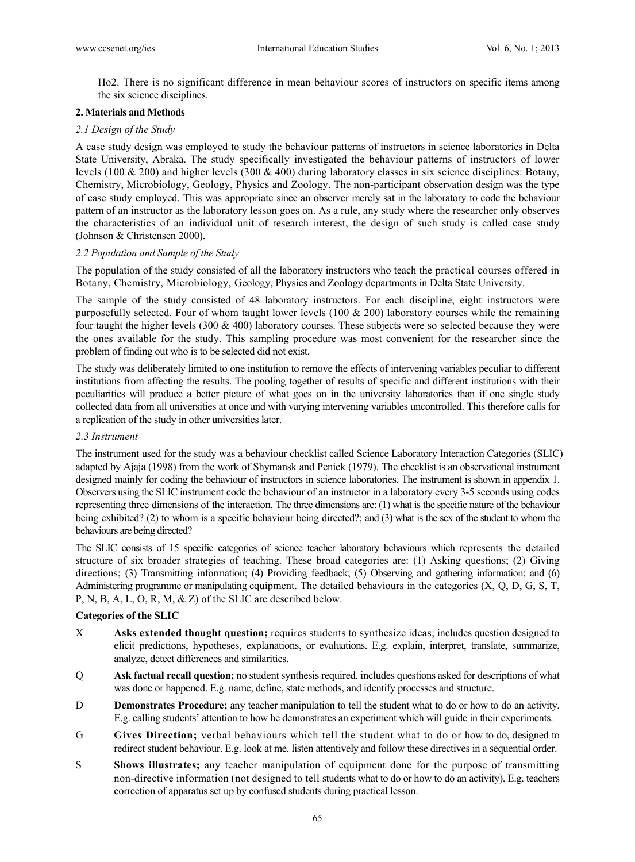Ho2. There is no significant difference in mean behaviour scores of instructors on specific items among the six science disciplines.

# **2. Materials and Methods**

# *2.1 Design of the Study*

A case study design was employed to study the behaviour patterns of instructors in science laboratories in Delta State University, Abraka. The study specifically investigated the behaviour patterns of instructors of lower levels (100 & 200) and higher levels (300 & 400) during laboratory classes in six science disciplines: Botany, Chemistry, Microbiology, Geology, Physics and Zoology. The non-participant observation design was the type of case study employed. This was appropriate since an observer merely sat in the laboratory to code the behaviour pattern of an instructor as the laboratory lesson goes on. As a rule, any study where the researcher only observes the characteristics of an individual unit of research interest, the design of such study is called case study (Johnson & Christensen 2000).

# *2.2 Population and Sample of the Study*

The population of the study consisted of all the laboratory instructors who teach the practical courses offered in Botany, Chemistry, Microbiology, Geology, Physics and Zoology departments in Delta State University.

The sample of the study consisted of 48 laboratory instructors. For each discipline, eight instructors were purposefully selected. Four of whom taught lower levels (100  $\&$  200) laboratory courses while the remaining four taught the higher levels (300 & 400) laboratory courses. These subjects were so selected because they were the ones available for the study. This sampling procedure was most convenient for the researcher since the problem of finding out who is to be selected did not exist.

The study was deliberately limited to one institution to remove the effects of intervening variables peculiar to different institutions from affecting the results. The pooling together of results of specific and different institutions with their peculiarities will produce a better picture of what goes on in the university laboratories than if one single study collected data from all universities at once and with varying intervening variables uncontrolled. This therefore calls for a replication of the study in other universities later.

#### *2.3 Instrument*

The instrument used for the study was a behaviour checklist called Science Laboratory Interaction Categories (SLIC) adapted by Ajaja (1998) from the work of Shymansk and Penick (1979). The checklist is an observational instrument designed mainly for coding the behaviour of instructors in science laboratories. The instrument is shown in appendix 1. Observers using the SLIC instrument code the behaviour of an instructor in a laboratory every 3-5 seconds using codes representing three dimensions of the interaction. The three dimensions are: (1) what is the specific nature of the behaviour being exhibited? (2) to whom is a specific behaviour being directed?; and (3) what is the sex of the student to whom the behaviours are being directed?

The SLIC consists of 15 specific categories of science teacher laboratory behaviours which represents the detailed structure of six broader strategies of teaching. These broad categories are: (1) Asking questions; (2) Giving directions; (3) Transmitting information; (4) Providing feedback; (5) Observing and gathering information; and (6) Administering programme or manipulating equipment. The detailed behaviours in the categories (X, Q, D, G, S, T, P, N, B, A, L, O, R, M, & Z) of the SLIC are described below.

# **Categories of the SLIC**

- X **Asks extended thought question;** requires students to synthesize ideas; includes question designed to elicit predictions, hypotheses, explanations, or evaluations. E.g. explain, interpret, translate, summarize, analyze, detect differences and similarities.
- Q **Ask factual recall question;** no student synthesis required, includes questions asked for descriptions of what was done or happened. E.g. name, define, state methods, and identify processes and structure.
- D **Demonstrates Procedure;** any teacher manipulation to tell the student what to do or how to do an activity. E.g. calling students' attention to how he demonstrates an experiment which will guide in their experiments.
- G **Gives Direction;** verbal behaviours which tell the student what to do or how to do, designed to redirect student behaviour. E.g. look at me, listen attentively and follow these directives in a sequential order.
- S **Shows illustrates;** any teacher manipulation of equipment done for the purpose of transmitting non-directive information (not designed to tell students what to do or how to do an activity). E.g. teachers correction of apparatus set up by confused students during practical lesson.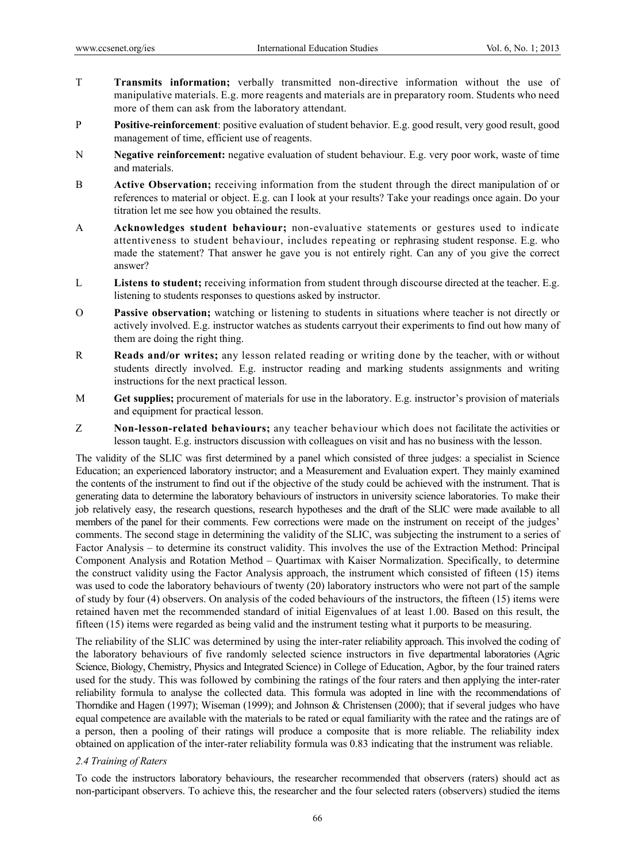- T **Transmits information;** verbally transmitted non-directive information without the use of manipulative materials. E.g. more reagents and materials are in preparatory room. Students who need more of them can ask from the laboratory attendant.
- P **Positive-reinforcement**: positive evaluation of student behavior. E.g. good result, very good result, good management of time, efficient use of reagents.
- N **Negative reinforcement:** negative evaluation of student behaviour. E.g. very poor work, waste of time and materials.
- B **Active Observation;** receiving information from the student through the direct manipulation of or references to material or object. E.g. can I look at your results? Take your readings once again. Do your titration let me see how you obtained the results.
- A **Acknowledges student behaviour;** non-evaluative statements or gestures used to indicate attentiveness to student behaviour, includes repeating or rephrasing student response. E.g. who made the statement? That answer he gave you is not entirely right. Can any of you give the correct answer?
- Listens to student; receiving information from student through discourse directed at the teacher. E.g. listening to students responses to questions asked by instructor.
- O **Passive observation;** watching or listening to students in situations where teacher is not directly or actively involved. E.g. instructor watches as students carryout their experiments to find out how many of them are doing the right thing.
- R **Reads and/or writes;** any lesson related reading or writing done by the teacher, with or without students directly involved. E.g. instructor reading and marking students assignments and writing instructions for the next practical lesson.
- M **Get supplies;** procurement of materials for use in the laboratory. E.g. instructor's provision of materials and equipment for practical lesson.
- Z **Non-lesson-related behaviours;** any teacher behaviour which does not facilitate the activities or lesson taught. E.g. instructors discussion with colleagues on visit and has no business with the lesson.

The validity of the SLIC was first determined by a panel which consisted of three judges: a specialist in Science Education; an experienced laboratory instructor; and a Measurement and Evaluation expert. They mainly examined the contents of the instrument to find out if the objective of the study could be achieved with the instrument. That is generating data to determine the laboratory behaviours of instructors in university science laboratories. To make their job relatively easy, the research questions, research hypotheses and the draft of the SLIC were made available to all members of the panel for their comments. Few corrections were made on the instrument on receipt of the judges' comments. The second stage in determining the validity of the SLIC, was subjecting the instrument to a series of Factor Analysis – to determine its construct validity. This involves the use of the Extraction Method: Principal Component Analysis and Rotation Method – Quartimax with Kaiser Normalization. Specifically, to determine the construct validity using the Factor Analysis approach, the instrument which consisted of fifteen (15) items was used to code the laboratory behaviours of twenty (20) laboratory instructors who were not part of the sample of study by four (4) observers. On analysis of the coded behaviours of the instructors, the fifteen (15) items were retained haven met the recommended standard of initial Eigenvalues of at least 1.00. Based on this result, the fifteen (15) items were regarded as being valid and the instrument testing what it purports to be measuring.

The reliability of the SLIC was determined by using the inter-rater reliability approach. This involved the coding of the laboratory behaviours of five randomly selected science instructors in five departmental laboratories (Agric Science, Biology, Chemistry, Physics and Integrated Science) in College of Education, Agbor, by the four trained raters used for the study. This was followed by combining the ratings of the four raters and then applying the inter-rater reliability formula to analyse the collected data. This formula was adopted in line with the recommendations of Thorndike and Hagen (1997); Wiseman (1999); and Johnson & Christensen (2000); that if several judges who have equal competence are available with the materials to be rated or equal familiarity with the ratee and the ratings are of a person, then a pooling of their ratings will produce a composite that is more reliable. The reliability index obtained on application of the inter-rater reliability formula was 0.83 indicating that the instrument was reliable.

#### *2.4 Training of Raters*

To code the instructors laboratory behaviours, the researcher recommended that observers (raters) should act as non-participant observers. To achieve this, the researcher and the four selected raters (observers) studied the items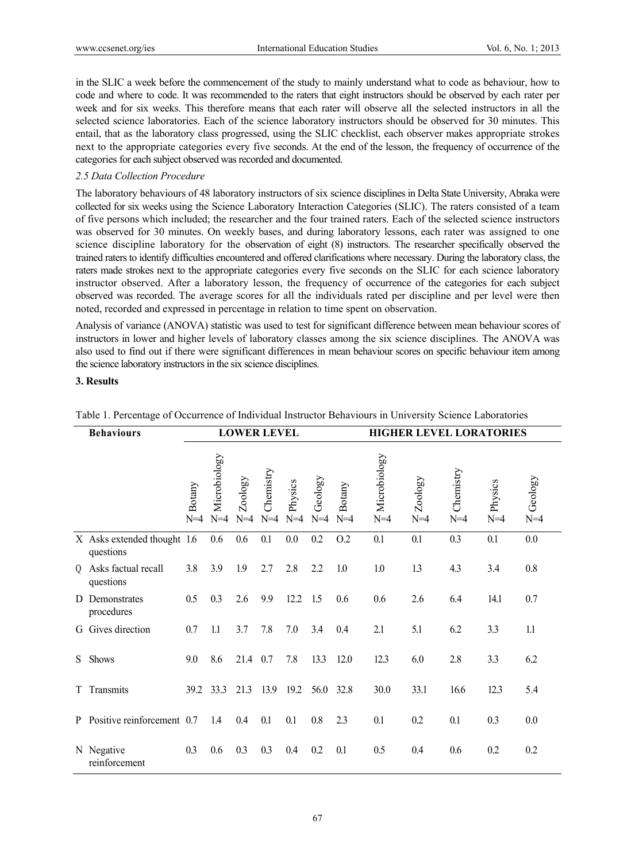in the SLIC a week before the commencement of the study to mainly understand what to code as behaviour, how to code and where to code. It was recommended to the raters that eight instructors should be observed by each rater per week and for six weeks. This therefore means that each rater will observe all the selected instructors in all the selected science laboratories. Each of the science laboratory instructors should be observed for 30 minutes. This entail, that as the laboratory class progressed, using the SLIC checklist, each observer makes appropriate strokes next to the appropriate categories every five seconds. At the end of the lesson, the frequency of occurrence of the categories for each subject observed was recorded and documented.

# *2.5 Data Collection Procedure*

The laboratory behaviours of 48 laboratory instructors of six science disciplines in Delta State University, Abraka were collected for six weeks using the Science Laboratory Interaction Categories (SLIC). The raters consisted of a team of five persons which included; the researcher and the four trained raters. Each of the selected science instructors was observed for 30 minutes. On weekly bases, and during laboratory lessons, each rater was assigned to one science discipline laboratory for the observation of eight (8) instructors. The researcher specifically observed the trained raters to identify difficulties encountered and offered clarifications where necessary. During the laboratory class, the raters made strokes next to the appropriate categories every five seconds on the SLIC for each science laboratory instructor observed. After a laboratory lesson, the frequency of occurrence of the categories for each subject observed was recorded. The average scores for all the individuals rated per discipline and per level were then noted, recorded and expressed in percentage in relation to time spent on observation.

Analysis of variance (ANOVA) statistic was used to test for significant difference between mean behaviour scores of instructors in lower and higher levels of laboratory classes among the six science disciplines. The ANOVA was also used to find out if there were significant differences in mean behaviour scores on specific behaviour item among the science laboratory instructors in the six science disciplines.

#### **3. Results**

| <b>Behaviours</b> |                                          | <b>LOWER LEVEL</b> |                       |                  |                    |                  |                  |                 | <b>HIGHER LEVEL LORATORIES</b> |                  |                    |                  |                  |
|-------------------|------------------------------------------|--------------------|-----------------------|------------------|--------------------|------------------|------------------|-----------------|--------------------------------|------------------|--------------------|------------------|------------------|
|                   |                                          | Botany<br>$N=4$    | Microbiology<br>$N=4$ | Zoology<br>$N=4$ | Chemistry<br>$N=4$ | Physics<br>$N=4$ | Geology<br>$N=4$ | Botany<br>$N=4$ | Microbiology<br>$N=4$          | Zoology<br>$N=4$ | Chemistry<br>$N=4$ | Physics<br>$N=4$ | Geology<br>$N=4$ |
|                   | X Asks extended thought 1.6<br>questions |                    | 0.6                   | 0.6              | 0.1                | 0.0              | 0.2              | O.2             | 0.1                            | 0.1              | 0.3                | 0.1              | 0.0              |
| $\overline{0}$    | Asks factual recall<br>questions         | 3.8                | 3.9                   | 1.9              | 2.7                | 2.8              | 2.2              | 1.0             | 1.0                            | 13               | 4.3                | 3.4              | 0.8              |
| D.                | Demonstrates<br>procedures               | 0.5                | 0.3                   | 2.6              | 9.9                | 12.2             | 1.5              | 0.6             | 0.6                            | 2.6              | 6.4                | 14.1             | 0.7              |
| G                 | Gives direction                          | 0.7                | 1.1                   | 3.7              | 7.8                | 7.0              | 3.4              | 0.4             | 2.1                            | 5.1              | 6.2                | 3.3              | 1.1              |
| S.                | Shows                                    | 9.0                | 8.6                   | 21.4             | 0.7                | 7.8              | 13.3             | 12.0            | 12.3                           | 6.0              | 2.8                | 3.3              | 6.2              |
| T                 | Transmits                                | 39.2               | 33.3                  | 21.3             | 13.9               | 19.2             | 56.0             | 32.8            | 30.0                           | 33.1             | 16.6               | 12.3             | 5.4              |
| P                 | Positive reinforcement 0.7               |                    | 1.4                   | 0.4              | 0.1                | 0.1              | 0.8              | 2.3             | 0.1                            | 0.2              | 0.1                | 0.3              | 0.0              |
|                   | N Negative<br>reinforcement              | 0.3                | 0.6                   | 0.3              | 0.3                | 0.4              | 0.2              | 0.1             | 0.5                            | 0.4              | 0.6                | 0.2              | 0.2              |

#### Table 1. Percentage of Occurrence of Individual Instructor Behaviours in University Science Laboratories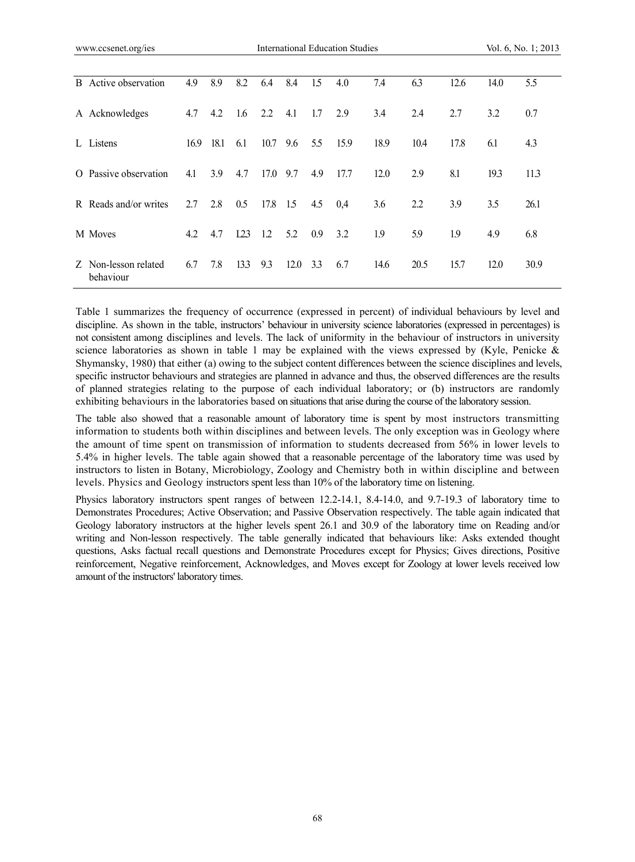| <b>B</b> Active observation       | 4.9  | 8.9  | 8.2  | 6.4  | 8.4  | 1.5 | 4.0  | 7.4  | 6.3  | 12.6 | 14.0 | 5.5  |
|-----------------------------------|------|------|------|------|------|-----|------|------|------|------|------|------|
| A Acknowledges                    | 4.7  | 4.2  | 1.6  | 2.2  | 4.1  | 1.7 | 2.9  | 3.4  | 2.4  | 2.7  | 3.2  | 0.7  |
| L Listens                         | 16.9 | 18.1 | 6.1  | 10.7 | 9.6  | 5.5 | 15.9 | 18.9 | 10.4 | 17.8 | 6.1  | 4.3  |
| O Passive observation             | 4.1  | 3.9  | 4.7  | 17.0 | 9.7  | 4.9 | 17.7 | 12.0 | 2.9  | 8.1  | 19.3 | 11.3 |
| R Reads and/or writes             | 2.7  | 2.8  | 0.5  | 17.8 | 1.5  | 4.5 | 0,4  | 3.6  | 2.2  | 3.9  | 3.5  | 26.1 |
| M Moves                           | 4.2  | 4.7  | 123  | 1.2  | 5.2  | 0.9 | 3.2  | 1.9  | 5.9  | 1.9  | 4.9  | 6.8  |
| Z Non-lesson related<br>behaviour | 6.7  | 7.8  | 13.3 | 9.3  | 12.0 | 3.3 | 6.7  | 14.6 | 20.5 | 15.7 | 12.0 | 30.9 |

Table 1 summarizes the frequency of occurrence (expressed in percent) of individual behaviours by level and discipline. As shown in the table, instructors' behaviour in university science laboratories (expressed in percentages) is not consistent among disciplines and levels. The lack of uniformity in the behaviour of instructors in university science laboratories as shown in table 1 may be explained with the views expressed by (Kyle, Penicke  $\&$ Shymansky, 1980) that either (a) owing to the subject content differences between the science disciplines and levels, specific instructor behaviours and strategies are planned in advance and thus, the observed differences are the results of planned strategies relating to the purpose of each individual laboratory; or (b) instructors are randomly exhibiting behaviours in the laboratories based on situations that arise during the course of the laboratory session.

The table also showed that a reasonable amount of laboratory time is spent by most instructors transmitting information to students both within disciplines and between levels. The only exception was in Geology where the amount of time spent on transmission of information to students decreased from 56% in lower levels to 5.4% in higher levels. The table again showed that a reasonable percentage of the laboratory time was used by instructors to listen in Botany, Microbiology, Zoology and Chemistry both in within discipline and between levels. Physics and Geology instructors spent less than 10% of the laboratory time on listening.

Physics laboratory instructors spent ranges of between 12.2-14.1, 8.4-14.0, and 9.7-19.3 of laboratory time to Demonstrates Procedures; Active Observation; and Passive Observation respectively. The table again indicated that Geology laboratory instructors at the higher levels spent 26.1 and 30.9 of the laboratory time on Reading and/or writing and Non-lesson respectively. The table generally indicated that behaviours like: Asks extended thought questions, Asks factual recall questions and Demonstrate Procedures except for Physics; Gives directions, Positive reinforcement, Negative reinforcement, Acknowledges, and Moves except for Zoology at lower levels received low amount of the instructors' laboratory times.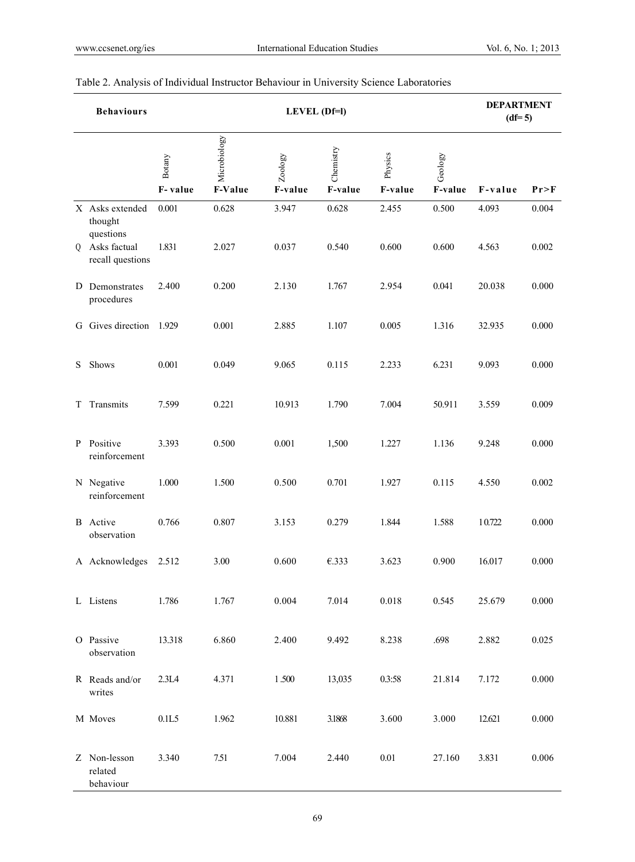|   | <b>Behaviours</b>                       |                   |                         | <b>DEPARTMENT</b><br>$(df=5)$ |                      |                    |                    |         |        |
|---|-----------------------------------------|-------------------|-------------------------|-------------------------------|----------------------|--------------------|--------------------|---------|--------|
|   |                                         | Botany<br>F-value | Microbiology<br>F-Value | Zoology<br>F-value            | Chemistry<br>F-value | Physics<br>F-value | Geology<br>F-value | F-value | Pr > F |
|   | X Asks extended<br>thought<br>questions | 0.001             | 0.628                   | 3.947                         | 0.628                | 2.455              | 0.500              | 4.093   | 0.004  |
| Q | Asks factual<br>recall questions        | 1.831             | 2.027                   | 0.037                         | 0.540                | 0.600              | 0.600              | 4.563   | 0.002  |
|   | D Demonstrates<br>procedures            | 2.400             | 0.200                   | 2.130                         | 1.767                | 2.954              | 0.041              | 20.038  | 0.000  |
|   | G Gives direction 1.929                 |                   | 0.001                   | 2.885                         | 1.107                | 0.005              | 1.316              | 32.935  | 0.000  |
| S | Shows                                   | 0.001             | 0.049                   | 9.065                         | 0.115                | 2.233              | 6.231              | 9.093   | 0.000  |
| T | Transmits                               | 7.599             | 0.221                   | 10.913                        | 1.790                | 7.004              | 50.911             | 3.559   | 0.009  |
| P | Positive<br>reinforcement               | 3.393             | 0.500                   | 0.001                         | 1,500                | 1.227              | 1.136              | 9.248   | 0.000  |
|   | N Negative<br>reinforcement             | 1.000             | 1.500                   | 0.500                         | 0.701                | 1.927              | 0.115              | 4.550   | 0.002  |
|   | <b>B</b> Active<br>observation          | 0.766             | 0.807                   | 3.153                         | 0.279                | 1.844              | 1.588              | 10.722  | 0.000  |
|   | A Acknowledges                          | 2.512             | 3.00                    | 0.600                         | €.333                | 3.623              | 0.900              | 16.017  | 0.000  |
|   | L Listens                               | 1.786             | 1.767                   | 0.004                         | 7.014                | 0.018              | 0.545              | 25.679  | 0.000  |
|   | O Passive<br>observation                | 13.318            | 6.860                   | 2.400                         | 9.492                | 8.238              | .698               | 2.882   | 0.025  |
|   | R Reads and/or<br>writes                | 2.3L4             | 4.371                   | 1.500                         | 13,035               | 0.3:58             | 21.814             | 7.172   | 0.000  |
|   | M Moves                                 | 0.1L5             | 1.962                   | 10.881                        | 3.1868               | 3.600              | 3.000              | 12.621  | 0.000  |
|   | Z Non-lesson<br>related<br>behaviour    | 3.340             | 7.51                    | 7.004                         | 2.440                | $0.01\,$           | 27.160             | 3.831   | 0.006  |

# Table 2. Analysis of Individual Instructor Behaviour in University Science Laboratories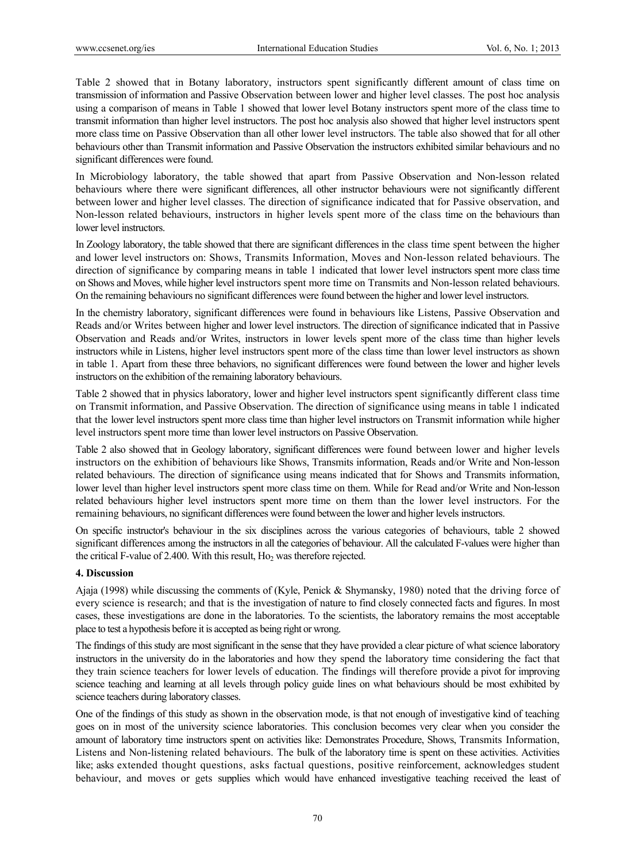Table 2 showed that in Botany laboratory, instructors spent significantly different amount of class time on transmission of information and Passive Observation between lower and higher level classes. The post hoc analysis using a comparison of means in Table 1 showed that lower level Botany instructors spent more of the class time to transmit information than higher level instructors. The post hoc analysis also showed that higher level instructors spent more class time on Passive Observation than all other lower level instructors. The table also showed that for all other behaviours other than Transmit information and Passive Observation the instructors exhibited similar behaviours and no significant differences were found.

In Microbiology laboratory, the table showed that apart from Passive Observation and Non-lesson related behaviours where there were significant differences, all other instructor behaviours were not significantly different between lower and higher level classes. The direction of significance indicated that for Passive observation, and Non-lesson related behaviours, instructors in higher levels spent more of the class time on the behaviours than lower level instructors.

In Zoology laboratory, the table showed that there are significant differences in the class time spent between the higher and lower level instructors on: Shows, Transmits Information, Moves and Non-lesson related behaviours. The direction of significance by comparing means in table 1 indicated that lower level instructors spent more class time on Shows and Moves, while higher level instructors spent more time on Transmits and Non-lesson related behaviours. On the remaining behaviours no significant differences were found between the higher and lower level instructors.

In the chemistry laboratory, significant differences were found in behaviours like Listens, Passive Observation and Reads and/or Writes between higher and lower level instructors. The direction of significance indicated that in Passive Observation and Reads and/or Writes, instructors in lower levels spent more of the class time than higher levels instructors while in Listens, higher level instructors spent more of the class time than lower level instructors as shown in table 1. Apart from these three behaviors, no significant differences were found between the lower and higher levels instructors on the exhibition of the remaining laboratory behaviours.

Table 2 showed that in physics laboratory, lower and higher level instructors spent significantly different class time on Transmit information, and Passive Observation. The direction of significance using means in table 1 indicated that the lower level instructors spent more class time than higher level instructors on Transmit information while higher level instructors spent more time than lower level instructors on Passive Observation.

Table 2 also showed that in Geology laboratory, significant differences were found between lower and higher levels instructors on the exhibition of behaviours like Shows, Transmits information, Reads and/or Write and Non-lesson related behaviours. The direction of significance using means indicated that for Shows and Transmits information, lower level than higher level instructors spent more class time on them. While for Read and/or Write and Non-lesson related behaviours higher level instructors spent more time on them than the lower level instructors. For the remaining behaviours, no significant differences were found between the lower and higher levels instructors.

On specific instructor's behaviour in the six disciplines across the various categories of behaviours, table 2 showed significant differences among the instructors in all the categories of behaviour. All the calculated F-values were higher than the critical F-value of 2.400. With this result,  $Ho<sub>2</sub>$  was therefore rejected.

# **4. Discussion**

Ajaja (1998) while discussing the comments of (Kyle, Penick & Shymansky, 1980) noted that the driving force of every science is research; and that is the investigation of nature to find closely connected facts and figures. In most cases, these investigations are done in the laboratories. To the scientists, the laboratory remains the most acceptable place to test a hypothesis before it is accepted as being right or wrong.

The findings of this study are most significant in the sense that they have provided a clear picture of what science laboratory instructors in the university do in the laboratories and how they spend the laboratory time considering the fact that they train science teachers for lower levels of education. The findings will therefore provide a pivot for improving science teaching and learning at all levels through policy guide lines on what behaviours should be most exhibited by science teachers during laboratory classes.

One of the findings of this study as shown in the observation mode, is that not enough of investigative kind of teaching goes on in most of the university science laboratories. This conclusion becomes very clear when you consider the amount of laboratory time instructors spent on activities like: Demonstrates Procedure, Shows, Transmits Information, Listens and Non-listening related behaviours. The bulk of the laboratory time is spent on these activities. Activities like; asks extended thought questions, asks factual questions, positive reinforcement, acknowledges student behaviour, and moves or gets supplies which would have enhanced investigative teaching received the least of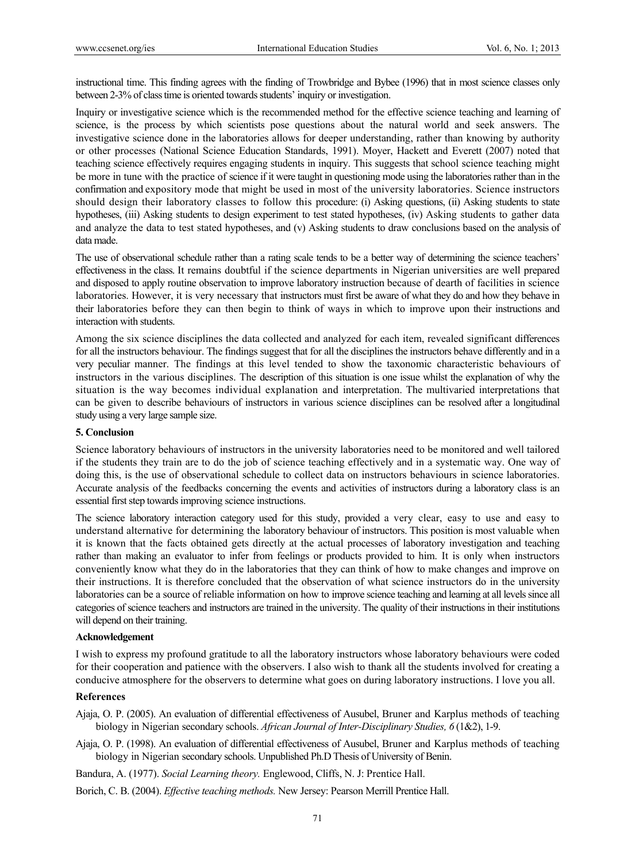instructional time. This finding agrees with the finding of Trowbridge and Bybee (1996) that in most science classes only between 2-3% of class time is oriented towards students' inquiry or investigation.

Inquiry or investigative science which is the recommended method for the effective science teaching and learning of science, is the process by which scientists pose questions about the natural world and seek answers. The investigative science done in the laboratories allows for deeper understanding, rather than knowing by authority or other processes (National Science Education Standards, 1991). Moyer, Hackett and Everett (2007) noted that teaching science effectively requires engaging students in inquiry. This suggests that school science teaching might be more in tune with the practice of science if it were taught in questioning mode using the laboratories rather than in the confirmation and expository mode that might be used in most of the university laboratories. Science instructors should design their laboratory classes to follow this procedure: (i) Asking questions, (ii) Asking students to state hypotheses, (iii) Asking students to design experiment to test stated hypotheses, (iv) Asking students to gather data and analyze the data to test stated hypotheses, and (v) Asking students to draw conclusions based on the analysis of data made.

The use of observational schedule rather than a rating scale tends to be a better way of determining the science teachers' effectiveness in the class. It remains doubtful if the science departments in Nigerian universities are well prepared and disposed to apply routine observation to improve laboratory instruction because of dearth of facilities in science laboratories. However, it is very necessary that instructors must first be aware of what they do and how they behave in their laboratories before they can then begin to think of ways in which to improve upon their instructions and interaction with students.

Among the six science disciplines the data collected and analyzed for each item, revealed significant differences for all the instructors behaviour. The findings suggest that for all the disciplines the instructors behave differently and in a very peculiar manner. The findings at this level tended to show the taxonomic characteristic behaviours of instructors in the various disciplines. The description of this situation is one issue whilst the explanation of why the situation is the way becomes individual explanation and interpretation. The multivaried interpretations that can be given to describe behaviours of instructors in various science disciplines can be resolved after a longitudinal study using a very large sample size.

# **5. Conclusion**

Science laboratory behaviours of instructors in the university laboratories need to be monitored and well tailored if the students they train are to do the job of science teaching effectively and in a systematic way. One way of doing this, is the use of observational schedule to collect data on instructors behaviours in science laboratories. Accurate analysis of the feedbacks concerning the events and activities of instructors during a laboratory class is an essential first step towards improving science instructions.

The science laboratory interaction category used for this study, provided a very clear, easy to use and easy to understand alternative for determining the laboratory behaviour of instructors. This position is most valuable when it is known that the facts obtained gets directly at the actual processes of laboratory investigation and teaching rather than making an evaluator to infer from feelings or products provided to him. It is only when instructors conveniently know what they do in the laboratories that they can think of how to make changes and improve on their instructions. It is therefore concluded that the observation of what science instructors do in the university laboratories can be a source of reliable information on how to improve science teaching and learning at all levels since all categories of science teachers and instructors are trained in the university. The quality of their instructions in their institutions will depend on their training.

#### **Acknowledgement**

I wish to express my profound gratitude to all the laboratory instructors whose laboratory behaviours were coded for their cooperation and patience with the observers. I also wish to thank all the students involved for creating a conducive atmosphere for the observers to determine what goes on during laboratory instructions. I love you all.

#### **References**

- Ajaja, O. P. (2005). An evaluation of differential effectiveness of Ausubel, Bruner and Karplus methods of teaching biology in Nigerian secondary schools. *African Journal of Inter-Disciplinary Studies, 6* (1&2), 1-9.
- Ajaja, O. P. (1998). An evaluation of differential effectiveness of Ausubel, Bruner and Karplus methods of teaching biology in Nigerian secondary schools. Unpublished Ph.D Thesis of University of Benin.

Bandura, A. (1977). *Social Learning theory.* Englewood, Cliffs, N. J: Prentice Hall.

Borich, C. B. (2004). *Effective teaching methods.* New Jersey: Pearson Merrill Prentice Hall.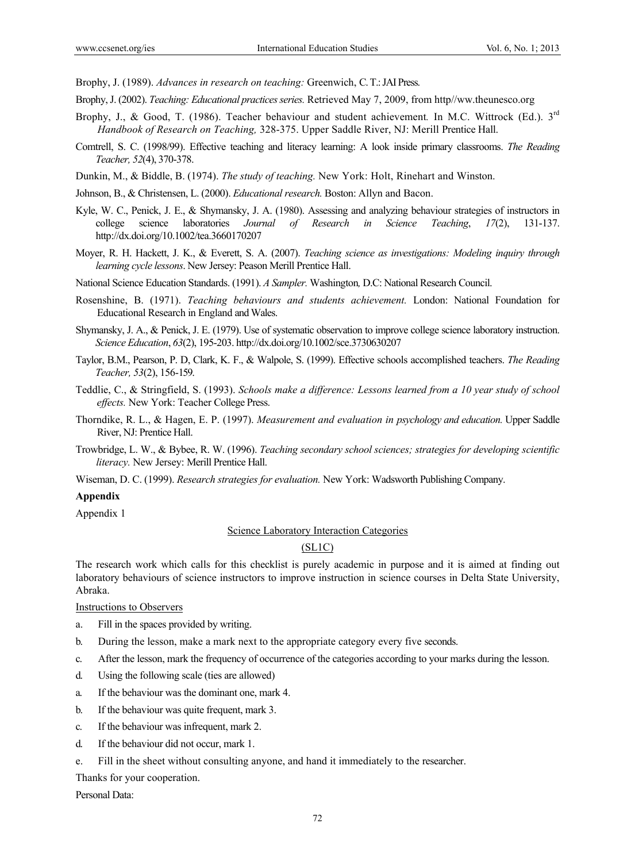Brophy, J. (1989). *Advances in research on teaching:* Greenwich, C. T.: JAI Press.

- Brophy, J. (2002). *Teaching: Educational practices series.* Retrieved May 7, 2009, from http//ww.theunesco.org
- Brophy, J., & Good, T. (1986). Teacher behaviour and student achievement*.* In M.C. Wittrock (Ed.). 3rd *Handbook of Research on Teaching,* 328-375. Upper Saddle River, NJ: Merill Prentice Hall.
- Comtrell, S. C. (1998/99). Effective teaching and literacy learning: A look inside primary classrooms. *The Reading Teacher, 52*(4), 370-378.
- Dunkin, M., & Biddle, B. (1974). *The study of teaching.* New York: Holt, Rinehart and Winston.
- Johnson, B., & Christensen, L. (2000). *Educational research.* Boston: Allyn and Bacon.
- Kyle, W. C., Penick, J. E., & Shymansky, J. A. (1980). Assessing and analyzing behaviour strategies of instructors in college science laboratories *Journal of Research in Science Teaching*, *17*(2), 131-137. http://dx.doi.org/10.1002/tea.3660170207
- Moyer, R. H. Hackett, J. K., & Everett, S. A. (2007). *Teaching science as investigations: Modeling inquiry through learning cycle lessons*. New Jersey: Peason Merill Prentice Hall.
- National Science Education Standards. (1991). *A Sampler.* Washington*,* D.C: National Research Council.
- Rosenshine, B. (1971). *Teaching behaviours and students achievement.* London: National Foundation for Educational Research in England and Wales.
- Shymansky, J. A., & Penick, J. E. (1979). Use of systematic observation to improve college science laboratory instruction. *Science Education*, *63*(2), 195-203. http://dx.doi.org/10.1002/sce.3730630207
- Taylor, B.M., Pearson, P. D, Clark, K. F., & Walpole, S. (1999). Effective schools accomplished teachers. *The Reading Teacher, 53*(2), 156-159.
- Teddlie, C., & Stringfield, S. (1993). *Schools make a difference: Lessons learned from a 10 year study of school effects.* New York: Teacher College Press.
- Thorndike, R. L., & Hagen, E. P. (1997). *Measurement and evaluation in psychology and education.* Upper Saddle River, NJ: Prentice Hall.
- Trowbridge, L. W., & Bybee, R. W. (1996). *Teaching secondary school sciences; strategies for developing scientific literacy.* New Jersey: Merill Prentice Hall.
- Wiseman, D. C. (1999). *Research strategies for evaluation.* New York: Wadsworth Publishing Company.

#### **Appendix**

Appendix 1

#### Science Laboratory Interaction Categories

# $(SL1C)$

The research work which calls for this checklist is purely academic in purpose and it is aimed at finding out laboratory behaviours of science instructors to improve instruction in science courses in Delta State University, Abraka.

#### Instructions to Observers

- a. Fill in the spaces provided by writing.
- b. During the lesson, make a mark next to the appropriate category every five seconds.
- c. After the lesson, mark the frequency of occurrence of the categories according to your marks during the lesson.
- d. Using the following scale (ties are allowed)
- a. If the behaviour was the dominant one, mark 4.
- b. If the behaviour was quite frequent, mark 3.
- c. If the behaviour was infrequent, mark 2.
- d. If the behaviour did not occur, mark 1.
- e. Fill in the sheet without consulting anyone, and hand it immediately to the researcher.

Thanks for your cooperation.

Personal Data: